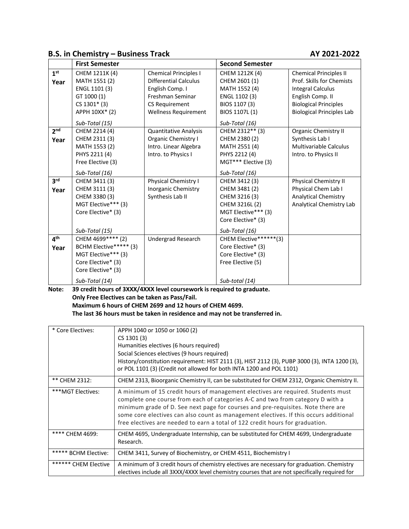# **B.S. in Chemistry – Business Track AY 2021-2022**

|                 | <b>First Semester</b>  |                              | <b>Second Semester</b> |                                  |
|-----------------|------------------------|------------------------------|------------------------|----------------------------------|
| 1 <sup>st</sup> | CHEM 1211K (4)         | <b>Chemical Principles I</b> | CHEM 1212K (4)         | <b>Chemical Principles II</b>    |
| Year            | MATH 1551 (2)          | <b>Differential Calculus</b> | CHEM 2601 (1)          | Prof. Skills for Chemists        |
|                 | ENGL 1101 (3)          | English Comp. I              | MATH 1552 (4)          | Integral Calculus                |
|                 | GT 1000 (1)            | Freshman Seminar             | ENGL 1102 (3)          | English Comp. II                 |
|                 | $CS 1301* (3)$         | CS Requirement               | BIOS 1107 (3)          | <b>Biological Principles</b>     |
|                 | APPH 10XX* (2)         | <b>Wellness Requirement</b>  | BIOS 1107L (1)         | <b>Biological Principles Lab</b> |
|                 | Sub-Total (15)         |                              | Sub-Total (16)         |                                  |
| 2 <sup>nd</sup> | CHEM 2214 (4)          | <b>Quantitative Analysis</b> | CHEM 2312** (3)        | Organic Chemistry II             |
| Year            | CHEM 2311 (3)          | <b>Organic Chemistry I</b>   | CHEM 2380 (2)          | Synthesis Lab I                  |
|                 | MATH 1553 (2)          | Intro. Linear Algebra        | MATH 2551 (4)          | <b>Multivariable Calculus</b>    |
|                 | PHYS 2211 (4)          | Intro. to Physics I          | PHYS 2212 (4)          | Intro. to Physics II             |
|                 | Free Elective (3)      |                              | MGT*** Elective (3)    |                                  |
|                 | Sub-Total (16)         |                              | Sub-Total (16)         |                                  |
| 3 <sup>rd</sup> | CHEM 3411 (3)          | Physical Chemistry I         | CHEM 3412 (3)          | <b>Physical Chemistry II</b>     |
| Year            | CHEM 3111 (3)          | Inorganic Chemistry          | CHEM 3481 (2)          | Physical Chem Lab I              |
|                 | CHEM 3380 (3)          | Synthesis Lab II             | CHEM 3216 (3)          | <b>Analytical Chemistry</b>      |
|                 | MGT Elective*** (3)    |                              | CHEM 3216L (2)         | Analytical Chemistry Lab         |
|                 | Core Elective* (3)     |                              | MGT Elective*** (3)    |                                  |
|                 |                        |                              | Core Elective* (3)     |                                  |
|                 | Sub-Total (15)         |                              | Sub-Total (16)         |                                  |
| 4 <sup>th</sup> | CHEM 4699**** (2)      | Undergrad Research           | CHEM Elective******(3) |                                  |
| Year            | BCHM Elective***** (3) |                              | Core Elective* (3)     |                                  |
|                 | MGT Elective*** (3)    |                              | Core Elective* (3)     |                                  |
|                 | Core Elective* (3)     |                              | Free Elective (5)      |                                  |
|                 | Core Elective* (3)     |                              |                        |                                  |
|                 | Sub-Total (14)         |                              | Sub-total (14)         |                                  |

**Note: 39 credit hours of 3XXX/4XXX level coursework is required to graduate. Only Free Electives can be taken as Pass/Fail. Maximum 6 hours of CHEM 2699 and 12 hours of CHEM 4699. The last 36 hours must be taken in residence and may not be transferred in.**

| * Core Electives:    | APPH 1040 or 1050 or 1060 (2)<br>CS 1301 (3)<br>Humanities electives (6 hours required)<br>Social Sciences electives (9 hours required)<br>History/constitution requirement: HIST 2111 (3), HIST 2112 (3), PUBP 3000 (3), INTA 1200 (3),<br>or POL 1101 (3) (Credit not allowed for both INTA 1200 and POL 1101)                                                                                                                 |
|----------------------|----------------------------------------------------------------------------------------------------------------------------------------------------------------------------------------------------------------------------------------------------------------------------------------------------------------------------------------------------------------------------------------------------------------------------------|
| ** CHEM 2312:        | CHEM 2313, Bioorganic Chemistry II, can be substituted for CHEM 2312, Organic Chemistry II.                                                                                                                                                                                                                                                                                                                                      |
| ***MGT Electives:    | A minimum of 15 credit hours of management electives are required. Students must<br>complete one course from each of categories A-C and two from category D with a<br>minimum grade of D. See next page for courses and pre-requisites. Note there are<br>some core electives can also count as management electives. If this occurs additional<br>free electives are needed to earn a total of 122 credit hours for graduation. |
| **** CHEM 4699:      | CHEM 4695, Undergraduate Internship, can be substituted for CHEM 4699, Undergraduate<br>Research.                                                                                                                                                                                                                                                                                                                                |
| ***** BCHM Elective: | CHEM 3411, Survey of Biochemistry, or CHEM 4511, Biochemistry I                                                                                                                                                                                                                                                                                                                                                                  |
| ****** CHEM Elective | A minimum of 3 credit hours of chemistry electives are necessary for graduation. Chemistry<br>electives include all 3XXX/4XXX level chemistry courses that are not specifically required for                                                                                                                                                                                                                                     |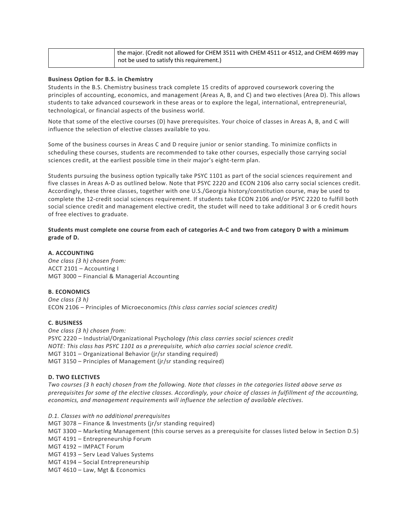| the major. (Credit not allowed for CHEM 3511 with CHEM 4511 or 4512, and CHEM 4699 may |
|----------------------------------------------------------------------------------------|
| not be used to satisfy this requirement.)                                              |

#### **Business Option for B.S. in Chemistry**

Students in the B.S. Chemistry business track complete 15 credits of approved coursework covering the principles of accounting, economics, and management (Areas A, B, and C) and two electives (Area D). This allows students to take advanced coursework in these areas or to explore the legal, international, entrepreneurial, technological, or financial aspects of the business world.

Note that some of the elective courses (D) have prerequisites. Your choice of classes in Areas A, B, and C will influence the selection of elective classes available to you.

Some of the business courses in Areas C and D require junior or senior standing. To minimize conflicts in scheduling these courses, students are recommended to take other courses, especially those carrying social sciences credit, at the earliest possible time in their major's eight-term plan.

Students pursuing the business option typically take PSYC 1101 as part of the social sciences requirement and five classes in Areas A-D as outlined below. Note that PSYC 2220 and ECON 2106 also carry social sciences credit. Accordingly, these three classes, together with one U.S./Georgia history/constitution course, may be used to complete the 12-credit social sciences requirement. If students take ECON 2106 and/or PSYC 2220 to fulfill both social science credit and management elective credit, the studet will need to take additional 3 or 6 credit hours of free electives to graduate.

### **Students must complete one course from each of categories A-C and two from category D with a minimum grade of D.**

#### **A. ACCOUNTING**

*One class (3 h) chosen from:* ACCT 2101 – Accounting I MGT 3000 – Financial & Managerial Accounting

## **B. ECONOMICS**

*One class (3 h)* ECON 2106 – Principles of Microeconomics *(this class carries social sciences credit)*

#### **C. BUSINESS**

*One class (3 h) chosen from:* PSYC 2220 – Industrial/Organizational Psychology *(this class carries social sciences credit NOTE: This class has PSYC 1101 as a prerequisite, which also carries social science credit.* MGT 3101 – Organizational Behavior (jr/sr standing required) MGT 3150 – Principles of Management (jr/sr standing required)

#### **D. TWO ELECTIVES**

*Two courses (3 h each) chosen from the following. Note that classes in the categories listed above serve as prerequisites for some of the elective classes. Accordingly, your choice of classes in fulfillment of the accounting, economics, and management requirements will influence the selection of available electives.*

*D.1. Classes with no additional prerequisites* MGT 3078 – Finance & Investments (jr/sr standing required) MGT 3300 – Marketing Management (this course serves as a prerequisite for classes listed below in Section D.5) MGT 4191 – Entrepreneurship Forum MGT 4192 – IMPACT Forum MGT 4193 – Serv Lead Values Systems MGT 4194 – Social Entrepreneurship MGT 4610 – Law, Mgt & Economics